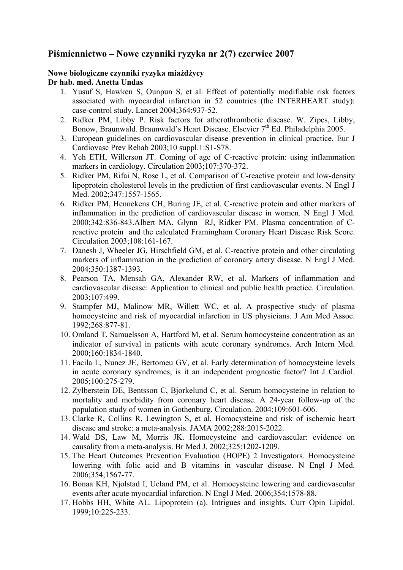# **Piśmiennictwo – Nowe czynniki ryzyka nr 2(7) czerwiec 2007**

#### **Nowe biologiczne czynniki ryzyka miażdżycy Dr hab. med. Anetta Undas**

- 1. Yusuf S, Hawken S, Ounpun S, et al. Effect of potentially modifiable risk factors associated with myocardial infarction in 52 countries (the INTERHEART study): case-control study. Lancet 2004;364:937-52.
- 2. Ridker PM, Libby P. Risk factors for atherothrombotic disease. W. Zipes, Libby, Bonow, Braunwald. Braunwald's Heart Disease. Elsevier 7<sup>th</sup> Ed. Philadelphia 2005.
- 3. European guidelines on cardiovascular disease prevention in clinical practice. Eur J Cardiovasc Prev Rehab 2003;10 suppl.1:S1-S78.
- 4. Yeh ETH, Willerson JT. Coming of age of C-reactive protein: using inflammation markers in cardiology. Circulation 2003;107:370-372.
- 5. Ridker PM, Rifai N, Rose L, et al. Comparison of C-reactive protein and low-density lipoprotein cholesterol levels in the prediction of first cardiovascular events. N Engl J Med. 2002:347:1557-1565.
- 6. Ridker PM, Hennekens CH, Buring JE, et al. C-reactive protein and other markers of inflammation in the prediction of cardiovascular disease in women. N Engl J Med. 2000;342:836-843.Albert MA, Glynn RJ, Ridker PM. Plasma concentration of Creactive protein and the calculated Framingham Coronary Heart Disease Risk Score. Circulation 2003;108:161-167.
- 7. Danesh J, Wheeler JG, Hirschfield GM, et al. C-reactive protein and other circulating markers of inflammation in the prediction of coronary artery disease. N Engl J Med. 2004;350:1387-1393.
- 8. Pearson TA, Mensah GA, Alexander RW, et al. Markers of inflammation and cardiovascular disease: Application to clinical and public health practice. Circulation. 2003;107:499.
- 9. Stampfer MJ, Malinow MR, Willett WC, et al. A prospective study of plasma homocysteine and risk of myocardial infarction in US physicians. J Am Med Assoc. 1992;268:877-81.
- 10. Omland T, Samuelsson A, Hartford M, et al. Serum homocysteine concentration as an indicator of survival in patients with acute coronary syndromes. Arch Intern Med. 2000;160:1834-1840.
- 11. Facila L, Nunez JE, Bertomeu GV, et al. Early determination of homocysteine levels in acute coronary syndromes, is it an independent prognostic factor? Int J Cardiol. 2005;100:275-279.
- 12. Zylberstein DE, Bentsson C, Bjorkelund C, et al. Serum homocysteine in relation to mortality and morbidity from coronary heart disease. A 24-year follow-up of the population study of women in Gothenburg. Circulation. 2004;109:601-606.
- 13. Clarke R, Collins R, Lewington S, et al. Homocysteine and risk of ischemic heart disease and stroke: a meta-analysis. JAMA 2002;288:2015-2022.
- 14. Wald DS, Law M, Morris JK. Homocysteine and cardiovascular: evidence on causality from a meta-analysis. Br Med J. 2002;325:1202-1209.
- 15. The Heart Outcomes Prevention Evaluation (HOPE) 2 Investigators. Homocysteine lowering with folic acid and B vitamins in vascular disease. N Engl J Med. 2006;354;1567-77.
- 16. Bonaa KH, Njolstad I, Ueland PM, et al. Homocysteine lowering and cardiovascular events after acute myocardial infarction. N Engl J Med. 2006;354;1578-88.
- 17. Hobbs HH, White AL. Lipoprotein (a). Intrigues and insights. Curr Opin Lipidol. 1999;10:225-233.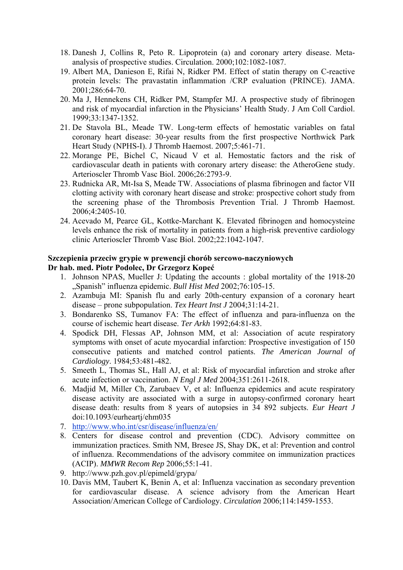- 18. Danesh J, Collins R, Peto R. Lipoprotein (a) and coronary artery disease. Metaanalysis of prospective studies. Circulation. 2000;102:1082-1087.
- 19. Albert MA, Danieson E, Rifai N, Ridker PM. Effect of statin therapy on C-reactive protein levels: The pravastatin inflammation /CRP evaluation (PRINCE). JAMA. 2001;286:64-70.
- 20. Ma J, Hennekens CH, Ridker PM, Stampfer MJ. A prospective study of fibrinogen and risk of myocardial infarction in the Physicians' Health Study. J Am Coll Cardiol. 1999;33:1347-1352.
- 21. De Stavola BL, Meade TW. Long-term effects of hemostatic variables on fatal coronary heart disease: 30-year results from the first prospective Northwick Park Heart Study (NPHS-I). J Thromb Haemost. 2007;5:461-71.
- 22. Morange PE, Bichel C, Nicaud V et al. Hemostatic factors and the risk of cardiovascular death in patients with coronary artery disease: the AtheroGene study. Arterioscler Thromb Vasc Biol. 2006;26:2793-9.
- 23. Rudnicka AR, Mt-Isa S, Meade TW. Associations of plasma fibrinogen and factor VII clotting activity with coronary heart disease and stroke: prospective cohort study from the screening phase of the Thrombosis Prevention Trial. J Thromb Haemost. 2006;4:2405-10.
- 24. Acevado M, Pearce GL, Kottke-Marchant K. Elevated fibrinogen and homocysteine levels enhance the risk of mortality in patients from a high-risk preventive cardiology clinic Arterioscler Thromb Vasc Biol. 2002;22:1042-1047.

## **Szczepienia przeciw grypie w prewencji chorób sercowo-naczyniowych Dr hab. med. Piotr Podolec, Dr Grzegorz Kopeć**

- 1. Johnson NPAS, Mueller J: Updating the accounts : global mortality of the 1918-20 "Spanish" influenza epidemic. *Bull Hist Med* 2002;76:105-15.
- 2. Azambuja MI: Spanish flu and early 20th-century expansion of a coronary heart disease – prone subpopulation. *Tex Heart Inst J* 2004;31:14-21.
- 3. Bondarenko SS, Tumanov FA: The effect of influenza and para-influenza on the course of ischemic heart disease. *Ter Arkh* 1992;64:81-83.
- 4. Spodick DH, Flessas AP, Johnson MM, et al: Association of acute respiratory symptoms with onset of acute myocardial infarction: Prospective investigation of 150 consecutive patients and matched control patients. *The American Journal of Cardiology*. 1984;53:481-482.
- 5. Smeeth L, Thomas SL, Hall AJ, et al: Risk of myocardial infarction and stroke after acute infection or vaccination. *N Engl J Med* 2004;351:2611-2618.
- 6. Madjid M, Miller Ch, Zarubaev V, et al: Influenza epidemics and acute respiratory disease activity are associated with a surge in autopsy-confirmed coronary heart disease death: results from 8 years of autopsies in 34 892 subjects. *Eur Heart J* doi:10.1093/eurheartj/ehm035
- 7. http://www.who.int/csr/disease/influenza/en/
- 8. Centers for disease control and prevention (CDC). Advisory committee on immunization practices. Smith NM, Bresee JS, Shay DK, et al: Prevention and control of influenza. Recommendations of the advisory commitee on immunization practices (ACIP). *MMWR Recom Rep* 2006;55:1-41.
- 9. http://www.pzh.gov.pl/epimeld/grypa/
- 10. Davis MM, Taubert K, Benin A, et al: Influenza vaccination as secondary prevention for cardiovascular disease. A science advisory from the American Heart Association/American College of Cardiology. *Circulation* 2006;114:1459-1553.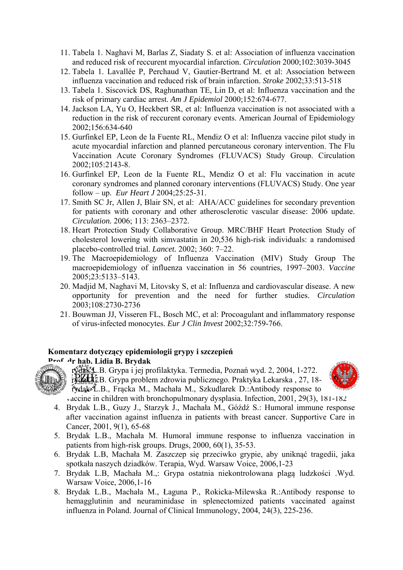- 11. Tabela 1. Naghavi M, Barlas Z, Siadaty S. et al: Association of influenza vaccination and reduced risk of reccurent myocardial infarction. *Circulation* 2000;102:3039-3045
- 12. Tabela 1. Lavallée P, Perchaud V, Gautier-Bertrand M. et al: Association between influenza vaccination and reduced risk of brain infarction. *Stroke* 2002;33:513-518
- 13. Tabela 1. Siscovick DS, Raghunathan TE, Lin D, et al: Influenza vaccination and the risk of primary cardiac arrest. *Am J Epidemiol* 2000;152:674-677.
- 14. Jackson LA, Yu O, Heckbert SR, et al: Influenza vaccination is not associated with a reduction in the risk of reccurent coronary events. American Journal of Epidemiology 2002;156:634-640
- 15. Gurfinkel EP, Leon de la Fuente RL, Mendiz O et al: Influenza vaccine pilot study in acute myocardial infarction and planned percutaneous coronary intervention. The Flu Vaccination Acute Coronary Syndromes (FLUVACS) Study Group. Circulation 2002;105:2143-8.
- 16. Gurfinkel EP, Leon de la Fuente RL, Mendiz O et al: Flu vaccination in acute coronary syndromes and planned coronary interventions (FLUVACS) Study. One year follow – up. *Eur Heart J* 2004;25:25-31.
- 17. Smith SC Jr, Allen J, Blair SN, et al: AHA/ACC guidelines for secondary prevention for patients with coronary and other atherosclerotic vascular disease: 2006 update. *Circulation.* 2006; 113: 2363–2372.
- 18. Heart Protection Study Collaborative Group. MRC/BHF Heart Protection Study of cholesterol lowering with simvastatin in 20,536 high-risk individuals: a randomised placebo-controlled trial. *Lancet.* 2002; 360: 7–22.
- 19. The Macroepidemiology of Influenza Vaccination (MIV) Study Group The macroepidemiology of influenza vaccination in 56 countries, 1997–2003. *Vaccine*  2005;23:5133–5143.
- 20. Madjid M, Naghavi M, Litovsky S, et al: Influenza and cardiovascular disease. A new opportunity for prevention and the need for further studies. *Circulation*  2003;108:2730-2736
- 21. Bouwman JJ, Visseren FL, Bosch MC, et al: Procoagulant and inflammatory response of virus-infected monocytes. *Eur J Clin Invest* 2002;32:759-766.

#### **Komentarz dotyczący epidemiologii grypy i szczepień**



rydak<sup>4</sup>L.B. Grypa i jej profilaktyka. Termedia, Poznań wyd. 2, 2004, 1-272.  $\frac{1}{2}$ rydak L $\frac{1}{2}$ B. Grypa problem zdrowia publicznego. Praktyka Lekarska , 27, 18f vdak L.B., Fracka M., Machała M., Szkudlarek D.:Antibody response to



vaccine in children with bronchopulmonary dysplasia. Infection, 2001, 29(3), 181-182

- 4. Brydak L.B., Guzy J., Starzyk J., Machała M., Góźdź S.: Humoral immune response after vaccination against influenza in patients with breast cancer. Supportive Care in Cancer, 2001, 9(1), 65-68
- 5. Brydak L.B., Machała M. Humoral immune response to influenza vaccination in patients from high-risk groups. Drugs, 2000, 60(1), 35-53.
- 6. Brydak L.B, Machała M. Zaszczep się przeciwko grypie, aby uniknąć tragedii, jaka spotkała naszych dziadków. Terapia, Wyd. Warsaw Voice, 2006,1-23
- 7. Brydak L.B, Machała M.,: Grypa ostatnia niekontrolowana plagą ludzkości .Wyd. Warsaw Voice, 2006,1-16
- 8. Brydak L.B., Machała M., Łaguna P., Rokicka-Milewska R.:Antibody response to hemagglutinin and neuraminidase in splenectomized patients vaccinated against influenza in Poland. Journal of Clinical Immunology, 2004, 24(3), 225-236.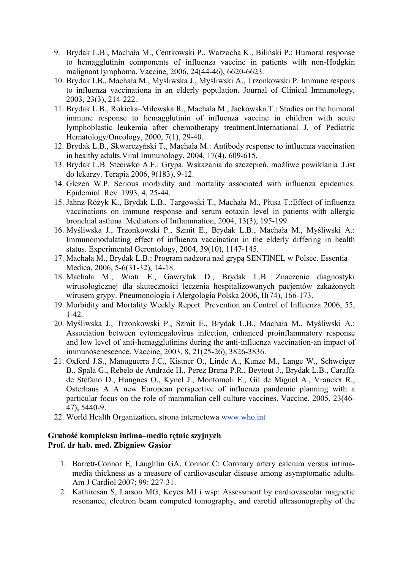- 9. Brydak L.B., Machała M., Centkowski P., Warzocha K., Biliński P.: Humoral response to hemagglutinin components of influenza vaccine in patients with non-Hodgkin malignant lymphoma. Vaccine, 2006, 24(44-46), 6620-6623.
- 10. Brydak LB., Machała M., Myśliwska J., Myśliwski A., Trzonkowski P. Immune respons to influenza vaccinationa in an elderly population. Journal of Clinical Immunology, 2003, 23(3), 214-222.
- 11. Brydak L.B., Rokicka–Milewska R., Machała M., Jackowska T.: Studies on the humoral immune response to hemagglutinin of influenza vaccine in children with acute lymphoblastic leukemia after chemotherapy treatment.International J. of Pediatric Hematology/Oncology, 2000, 7(1), 29-40.
- 12. Brydak L.B., Skwarczyński T., Machała M.: Antibody response to influenza vaccination in healthy adults.Viral Immunology, 2004, 17(4), 609-615.
- 13. Brydak L.B. Steciwko A.F.: Grypa. Wskazania do szczepień, możliwe powikłania .List do lekarzy. Terapia 2006, 9(183), 9-12.
- 14. Glezen W.P. Serious morbidity and mortality associated with influenza epidemics. Epidemiol. Rev. 1993, 4, 25-44.
- 15. Jahnz-Różyk K., Brydak L.B., Targowski T., Machała M., Płusa T.:Effect of influenza vaccinations on immune response and serum eotaxin level in patients with allergic bronchial asthma .Mediators of Inflammation, 2004, 13(3), 195-199.
- 16. Myśliwska J., Trzonkowski P., Szmit E., Brydak L.B., Machała M., Myśliwski A.: Immunomodulating effect of influenza vaccination in the elderly differing in health status. Experimental Gerontology, 2004, 39(10), 1147-145.
- 17. Machała M., Brydak L.B.: Program nadzoru nad grypą SENTINEL w Polsce. Essentia Medica, 2006, 5-6(31-32), 14-18.
- 18. Machała M., Wiatr E., Gawryluk D., Brydak L.B. Znaczenie diagnostyki wirusologicznej dla skuteczności leczenia hospitalizowanych pacjentów zakażonych wirusem grypy. Pneumonologia i Alergologia Polska 2006, II(74), 166-173.
- 19. Morbidity and Mortality Weekly Report. Prevention an Control of Influenza 2006, 55, 1-42.
- 20. Myśliwska J., Trzonkowski P., Szmit E., Brydak L.B., Machała M., Myśliwski A.: Association between cytomegalovirus infection, enhanced proinflammatory response and low level of anti-hemagglutinins during the anti-influenza vaccination-an impact of immunosenescence. Vaccine, 2003, 8, 21(25-26), 3826-3836.
- 21. Oxford J.S., Manuguerra J.C., Kistner O., Linde A., Kunze M., Lange W., Schweiger B., Spala G., Rebelo de Andrade H., Perez Brena P.R., Beytout J., Brydak L.B., Caraffa de Stefano D., Hungnes O., Kyncl J., Montomoli E., Gil de Miguel A., Vranckx R., Osterhaus A.:A new European perspective of influenza pandemic planning with a particular focus on the role of mammalian cell culture vaccines. Vaccine, 2005, 23(46- 47), 5440-9.
- 22. World Health Organization, strona internetowa www.who.int

### **Grubość kompleksu intima–media tętnic szyjnych Prof. dr hab. med. Zbigniew Gąsior**

- 1. Barrett-Connor E, Laughlin GA, Connor C: Coronary artery calcium versus intimamedia thickness as a measure of cardiovascular disease among asymptomatic adults. Am J Cardiol 2007; 99: 227-31.
- 2. Kathiresan S, Larson MG, Keyes MJ i wsp: Assessment by cardiovascular magnetic resonance, electron beam computed tomography, and carotid ultrasonography of the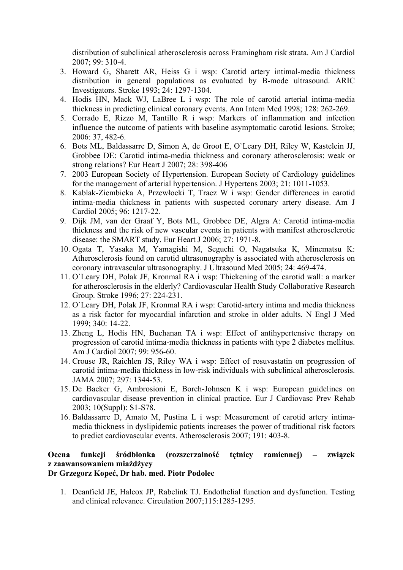distribution of subclinical atherosclerosis across Framingham risk strata. Am J Cardiol 2007; 99: 310-4.

- 3. Howard G, Sharett AR, Heiss G i wsp: Carotid artery intimal-media thickness distribution in general populations as evaluated by B-mode ultrasound. ARIC Investigators. Stroke 1993; 24: 1297-1304.
- 4. Hodis HN, Mack WJ, LaBree L i wsp: The role of carotid arterial intima-media thickness in predicting clinical coronary events. Ann Intern Med 1998; 128: 262-269.
- 5. Corrado E, Rizzo M, Tantillo R i wsp: Markers of inflammation and infection influence the outcome of patients with baseline asymptomatic carotid lesions. Stroke; 2006: 37, 482-6.
- 6. Bots ML, Baldassarre D, Simon A, de Groot E, O`Leary DH, Riley W, Kastelein JJ, Grobbee DE: Carotid intima-media thickness and coronary atherosclerosis: weak or strong relations? Eur Heart J 2007; 28: 398-406
- 7. 2003 European Society of Hypertension. European Society of Cardiology guidelines for the management of arterial hypertension. J Hypertens 2003; 21: 1011-1053.
- 8. Kablak-Ziembicka A, Przewłocki T, Tracz W i wsp: Gender differences in carotid intima-media thickness in patients with suspected coronary artery disease. Am J Cardiol 2005; 96: 1217-22.
- 9. Dijk JM, van der Graaf Y, Bots ML, Grobbee DE, Algra A: Carotid intima-media thickness and the risk of new vascular events in patients with manifest atherosclerotic disease: the SMART study. Eur Heart J 2006; 27: 1971-8.
- 10. Ogata T, Yasaka M, Yamagishi M, Seguchi O, Nagatsuka K, Minematsu K: Atherosclerosis found on carotid ultrasonography is associated with atherosclerosis on coronary intravascular ultrasonography. J Ultrasound Med 2005; 24: 469-474.
- 11. O`Leary DH, Polak JF, Kronmal RA i wsp: Thickening of the carotid wall: a marker for atherosclerosis in the elderly? Cardiovascular Health Study Collaborative Research Group. Stroke 1996; 27: 224-231.
- 12. O`Leary DH, Polak JF, Kronmal RA i wsp: Carotid-artery intima and media thickness as a risk factor for myocardial infarction and stroke in older adults. N Engl J Med 1999; 340: 14-22.
- 13. Zheng L, Hodis HN, Buchanan TA i wsp: Effect of antihypertensive therapy on progression of carotid intima-media thickness in patients with type 2 diabetes mellitus. Am J Cardiol 2007; 99: 956-60.
- 14. Crouse JR, Raichlen JS, Riley WA i wsp: Effect of rosuvastatin on progression of carotid intima-media thickness in low-risk individuals with subclinical atherosclerosis. JAMA 2007; 297: 1344-53.
- 15. De Backer G, Ambrosioni E, Borch-Johnsen K i wsp: European guidelines on cardiovascular disease prevention in clinical practice. Eur J Cardiovasc Prev Rehab 2003; 10(Suppl): S1-S78.
- 16. Baldassarre D, Amato M, Pustina L i wsp: Measurement of carotid artery intimamedia thickness in dyslipidemic patients increases the power of traditional risk factors to predict cardiovascular events. Atherosclerosis 2007; 191: 403-8.

# **Ocena funkcji śródbłonka (rozszerzalność tętnicy ramiennej) – związek z zaawansowaniem miażdżycy**

# **Dr Grzegorz Kopeć, Dr hab. med. Piotr Podolec**

1. Deanfield JE, Halcox JP, Rabelink TJ. Endothelial function and dysfunction. Testing and clinical relevance. Circulation 2007;115:1285-1295.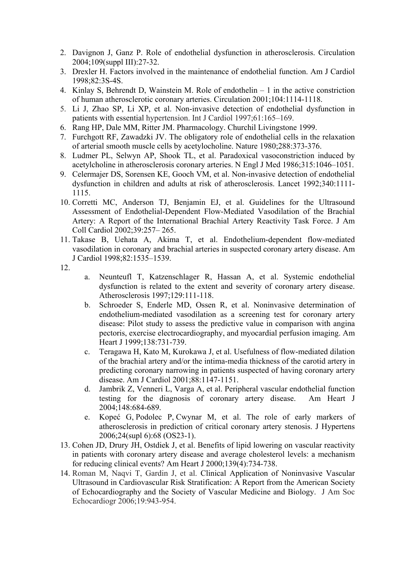- 2. Davignon J, Ganz P. Role of endothelial dysfunction in atherosclerosis. Circulation 2004;109(suppl III):27-32.
- 3. Drexler H. Factors involved in the maintenance of endothelial function. Am J Cardiol 1998;82:3S-4S.
- 4. Kinlay S, Behrendt D, Wainstein M. Role of endothelin 1 in the active constriction of human atherosclerotic coronary arteries. Circulation 2001;104:1114-1118.
- 5. Li J, Zhao SP, Li XP, et al. Non-invasive detection of endothelial dysfunction in patients with essential hypertension. Int J Cardiol 1997;61:165–169.
- 6. Rang HP, Dale MM, Ritter JM. Pharmacology. Churchil Livingstone 1999.
- 7. Furchgott RF, Zawadzki JV. The obligatory role of endothelial cells in the relaxation of arterial smooth muscle cells by acetylocholine. Nature 1980;288:373-376.
- 8. Ludmer PL, Selwyn AP, Shook TL, et al. Paradoxical vasoconstriction induced by acetylcholine in atherosclerosis coronary arteries. N Engl J Med 1986;315:1046–1051.
- 9. Celermajer DS, Sorensen KE, Gooch VM, et al. Non-invasive detection of endothelial dysfunction in children and adults at risk of atherosclerosis. Lancet 1992;340:1111- 1115.
- 10. Corretti MC, Anderson TJ, Benjamin EJ, et al. Guidelines for the Ultrasound Assessment of Endothelial-Dependent Flow-Mediated Vasodilation of the Brachial Artery: A Report of the International Brachial Artery Reactivity Task Force. J Am Coll Cardiol 2002;39:257– 265.
- 11. Takase B, Uehata A, Akima T, et al. Endothelium-dependent flow-mediated vasodilation in coronary and brachial arteries in suspected coronary artery disease. Am J Cardiol 1998;82:1535–1539.
- 12.
- a. Neunteufl T, Katzenschlager R, Hassan A, et al. Systemic endothelial dysfunction is related to the extent and severity of coronary artery disease. Atherosclerosis 1997;129:111-118.
- b. Schroeder S, Enderle MD, Ossen R, et al. Noninvasive determination of endothelium-mediated vasodilation as a screening test for coronary artery disease: Pilot study to assess the predictive value in comparison with angina pectoris, exercise electrocardiography, and myocardial perfusion imaging. Am Heart J 1999;138:731-739.
- c. Teragawa H, Kato M, Kurokawa J, et al. Usefulness of flow-mediated dilation of the brachial artery and/or the intima-media thickness of the carotid artery in predicting coronary narrowing in patients suspected of having coronary artery disease. Am J Cardiol 2001;88:1147-1151.
- d. Jambrik Z, Venneri L, Varga A, et al. Peripheral vascular endothelial function testing for the diagnosis of coronary artery disease. Am Heart J 2004;148:684-689.
- e. Kopeć G, Podolec P, Cwynar M, et al. The role of early markers of atherosclerosis in prediction of critical coronary artery stenosis. J Hypertens 2006;24(supl 6):68 (OS23-1).
- 13. Cohen JD, Drury JH, Ostdiek J, et al. Benefits of lipid lowering on vascular reactivity in patients with coronary artery disease and average cholesterol levels: a mechanism for reducing clinical events? Am Heart J 2000;139(4):734-738.
- 14. Roman M, Naqvi T, Gardin J, et al. Clinical Application of Noninvasive Vascular Ultrasound in Cardiovascular Risk Stratification: A Report from the American Society of Echocardiography and the Society of Vascular Medicine and Biology. J Am Soc Echocardiogr 2006;19:943-954.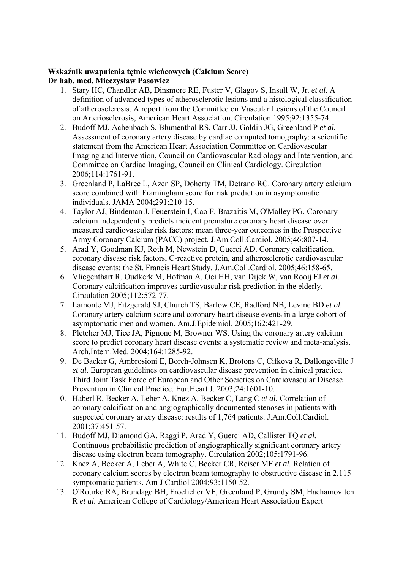### **Wskaźnik uwapnienia tętnic wieńcowych (Calcium Score) Dr hab. med. Mieczysław Pasowicz**

- 1. Stary HC, Chandler AB, Dinsmore RE, Fuster V, Glagov S, Insull W, Jr. *et al.* A definition of advanced types of atherosclerotic lesions and a histological classification of atherosclerosis. A report from the Committee on Vascular Lesions of the Council on Arteriosclerosis, American Heart Association. Circulation 1995;92:1355-74.
- 2. Budoff MJ, Achenbach S, Blumenthal RS, Carr JJ, Goldin JG, Greenland P *et al.* Assessment of coronary artery disease by cardiac computed tomography: a scientific statement from the American Heart Association Committee on Cardiovascular Imaging and Intervention, Council on Cardiovascular Radiology and Intervention, and Committee on Cardiac Imaging, Council on Clinical Cardiology. Circulation 2006;114:1761-91.
- 3. Greenland P, LaBree L, Azen SP, Doherty TM, Detrano RC. Coronary artery calcium score combined with Framingham score for risk prediction in asymptomatic individuals. JAMA 2004;291:210-15.
- 4. Taylor AJ, Bindeman J, Feuerstein I, Cao F, Brazaitis M, O'Malley PG. Coronary calcium independently predicts incident premature coronary heart disease over measured cardiovascular risk factors: mean three-year outcomes in the Prospective Army Coronary Calcium (PACC) project. J.Am.Coll.Cardiol. 2005;46:807-14.
- 5. Arad Y, Goodman KJ, Roth M, Newstein D, Guerci AD. Coronary calcification, coronary disease risk factors, C-reactive protein, and atherosclerotic cardiovascular disease events: the St. Francis Heart Study. J.Am.Coll.Cardiol. 2005;46:158-65.
- 6. Vliegenthart R, Oudkerk M, Hofman A, Oei HH, van Dijck W, van Rooij FJ *et al.* Coronary calcification improves cardiovascular risk prediction in the elderly. Circulation 2005;112:572-77.
- 7. Lamonte MJ, Fitzgerald SJ, Church TS, Barlow CE, Radford NB, Levine BD *et al.* Coronary artery calcium score and coronary heart disease events in a large cohort of asymptomatic men and women. Am.J.Epidemiol. 2005;162:421-29.
- 8. Pletcher MJ, Tice JA, Pignone M, Browner WS. Using the coronary artery calcium score to predict coronary heart disease events: a systematic review and meta-analysis. Arch.Intern.Med. 2004;164:1285-92.
- 9. De Backer G, Ambrosioni E, Borch-Johnsen K, Brotons C, Cifkova R, Dallongeville J *et al.* European guidelines on cardiovascular disease prevention in clinical practice. Third Joint Task Force of European and Other Societies on Cardiovascular Disease Prevention in Clinical Practice. Eur.Heart J. 2003;24:1601-10.
- 10. Haberl R, Becker A, Leber A, Knez A, Becker C, Lang C *et al.* Correlation of coronary calcification and angiographically documented stenoses in patients with suspected coronary artery disease: results of 1,764 patients. J.Am.Coll.Cardiol. 2001;37:451-57.
- 11. Budoff MJ, Diamond GA, Raggi P, Arad Y, Guerci AD, Callister TQ *et al.* Continuous probabilistic prediction of angiographically significant coronary artery disease using electron beam tomography. Circulation 2002;105:1791-96.
- 12. Knez A, Becker A, Leber A, White C, Becker CR, Reiser MF *et al.* Relation of coronary calcium scores by electron beam tomography to obstructive disease in 2,115 symptomatic patients. Am J Cardiol 2004;93:1150-52.
- 13. O'Rourke RA, Brundage BH, Froelicher VF, Greenland P, Grundy SM, Hachamovitch R *et al.* American College of Cardiology/American Heart Association Expert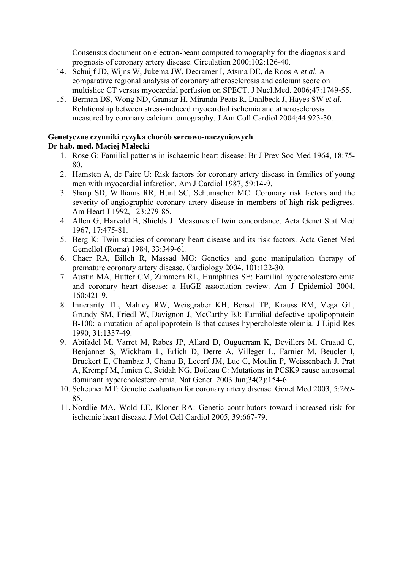Consensus document on electron-beam computed tomography for the diagnosis and prognosis of coronary artery disease. Circulation 2000;102:126-40.

- 14. Schuijf JD, Wijns W, Jukema JW, Decramer I, Atsma DE, de Roos A *et al.* A comparative regional analysis of coronary atherosclerosis and calcium score on multislice CT versus myocardial perfusion on SPECT. J Nucl.Med. 2006;47:1749-55.
- 15. Berman DS, Wong ND, Gransar H, Miranda-Peats R, Dahlbeck J, Hayes SW *et al.* Relationship between stress-induced myocardial ischemia and atherosclerosis measured by coronary calcium tomography. J Am Coll Cardiol 2004;44:923-30.

### **Genetyczne czynniki ryzyka chorób sercowo-naczyniowych Dr hab. med. Maciej Małecki**

- 1. Rose G: Familial patterns in ischaemic heart disease: Br J Prev Soc Med 1964, 18:75- 80.
- 2. Hamsten A, de Faire U: Risk factors for coronary artery disease in families of young men with myocardial infarction. Am J Cardiol 1987, 59:14-9.
- 3. Sharp SD, Williams RR, Hunt SC, Schumacher MC: Coronary risk factors and the severity of angiographic coronary artery disease in members of high-risk pedigrees. Am Heart J 1992, 123:279-85.
- 4. Allen G, Harvald B, Shields J: Measures of twin concordance. Acta Genet Stat Med 1967, 17:475-81.
- 5. Berg K: Twin studies of coronary heart disease and its risk factors. Acta Genet Med Gemellol (Roma) 1984, 33:349-61.
- 6. Chaer RA, Billeh R, Massad MG: Genetics and gene manipulation therapy of premature coronary artery disease. Cardiology 2004, 101:122-30.
- 7. Austin MA, Hutter CM, Zimmern RL, Humphries SE: Familial hypercholesterolemia and coronary heart disease: a HuGE association review. Am J Epidemiol 2004, 160:421-9.
- 8. Innerarity TL, Mahley RW, Weisgraber KH, Bersot TP, Krauss RM, Vega GL, Grundy SM, Friedl W, Davignon J, McCarthy BJ: Familial defective apolipoprotein B-100: a mutation of apolipoprotein B that causes hypercholesterolemia. J Lipid Res 1990, 31:1337-49.
- 9. Abifadel M, Varret M, Rabes JP, Allard D, Ouguerram K, Devillers M, Cruaud C, Benjannet S, Wickham L, Erlich D, Derre A, Villeger L, Farnier M, Beucler I, Bruckert E, Chambaz J, Chanu B, Lecerf JM, Luc G, Moulin P, Weissenbach J, Prat A, Krempf M, Junien C, Seidah NG, Boileau C: Mutations in PCSK9 cause autosomal dominant hypercholesterolemia. Nat Genet. 2003 Jun;34(2):154-6
- 10. Scheuner MT: Genetic evaluation for coronary artery disease. Genet Med 2003, 5:269- 85.
- 11. Nordlie MA, Wold LE, Kloner RA: Genetic contributors toward increased risk for ischemic heart disease. J Mol Cell Cardiol 2005, 39:667-79.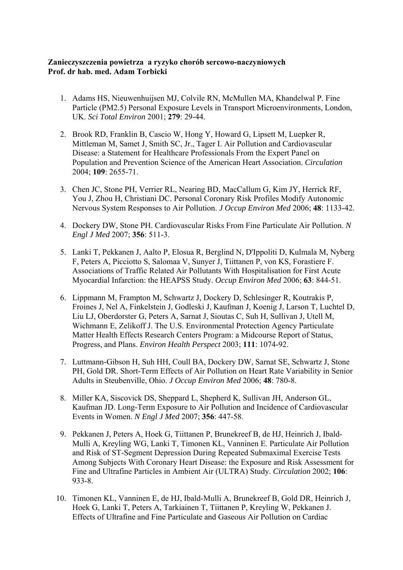### **Zanieczyszczenia powietrza a ryzyko chorób sercowo-naczyniowych Prof. dr hab. med. Adam Torbicki**

- 1. Adams HS, Nieuwenhuijsen MJ, Colvile RN, McMullen MA, Khandelwal P. Fine Particle (PM2.5) Personal Exposure Levels in Transport Microenvironments, London, UK. *Sci Total Environ* 2001; **279**: 29-44.
- 2. Brook RD, Franklin B, Cascio W, Hong Y, Howard G, Lipsett M, Luepker R, Mittleman M, Samet J, Smith SC, Jr., Tager I. Air Pollution and Cardiovascular Disease: a Statement for Healthcare Professionals From the Expert Panel on Population and Prevention Science of the American Heart Association. *Circulation* 2004; **109**: 2655-71.
- 3. Chen JC, Stone PH, Verrier RL, Nearing BD, MacCallum G, Kim JY, Herrick RF, You J, Zhou H, Christiani DC. Personal Coronary Risk Profiles Modify Autonomic Nervous System Responses to Air Pollution. *J Occup Environ Med* 2006; **48**: 1133-42.
- 4. Dockery DW, Stone PH. Cardiovascular Risks From Fine Particulate Air Pollution. *N Engl J Med* 2007; **356**: 511-3.
- 5. Lanki T, Pekkanen J, Aalto P, Elosua R, Berglind N, D'Ippoliti D, Kulmala M, Nyberg F, Peters A, Picciotto S, Salomaa V, Sunyer J, Tiittanen P, von KS, Forastiere F. Associations of Traffic Related Air Pollutants With Hospitalisation for First Acute Myocardial Infarction: the HEAPSS Study. *Occup Environ Med* 2006; **63**: 844-51.
- 6. Lippmann M, Frampton M, Schwartz J, Dockery D, Schlesinger R, Koutrakis P, Froines J, Nel A, Finkelstein J, Godleski J, Kaufman J, Koenig J, Larson T, Luchtel D, Liu LJ, Oberdorster G, Peters A, Sarnat J, Sioutas C, Suh H, Sullivan J, Utell M, Wichmann E, Zelikoff J. The U.S. Environmental Protection Agency Particulate Matter Health Effects Research Centers Program: a Midcourse Report of Status, Progress, and Plans. *Environ Health Perspect* 2003; **111**: 1074-92.
- 7. Luttmann-Gibson H, Suh HH, Coull BA, Dockery DW, Sarnat SE, Schwartz J, Stone PH, Gold DR. Short-Term Effects of Air Pollution on Heart Rate Variability in Senior Adults in Steubenville, Ohio. *J Occup Environ Med* 2006; **48**: 780-8.
- 8. Miller KA, Siscovick DS, Sheppard L, Shepherd K, Sullivan JH, Anderson GL, Kaufman JD. Long-Term Exposure to Air Pollution and Incidence of Cardiovascular Events in Women. *N Engl J Med* 2007; **356**: 447-58.
- 9. Pekkanen J, Peters A, Hoek G, Tiittanen P, Brunekreef B, de HJ, Heinrich J, Ibald-Mulli A, Kreyling WG, Lanki T, Timonen KL, Vanninen E. Particulate Air Pollution and Risk of ST-Segment Depression During Repeated Submaximal Exercise Tests Among Subjects With Coronary Heart Disease: the Exposure and Risk Assessment for Fine and Ultrafine Particles in Ambient Air (ULTRA) Study. *Circulation* 2002; **106**: 933-8.
- 10. Timonen KL, Vanninen E, de HJ, Ibald-Mulli A, Brunekreef B, Gold DR, Heinrich J, Hoek G, Lanki T, Peters A, Tarkiainen T, Tiittanen P, Kreyling W, Pekkanen J. Effects of Ultrafine and Fine Particulate and Gaseous Air Pollution on Cardiac